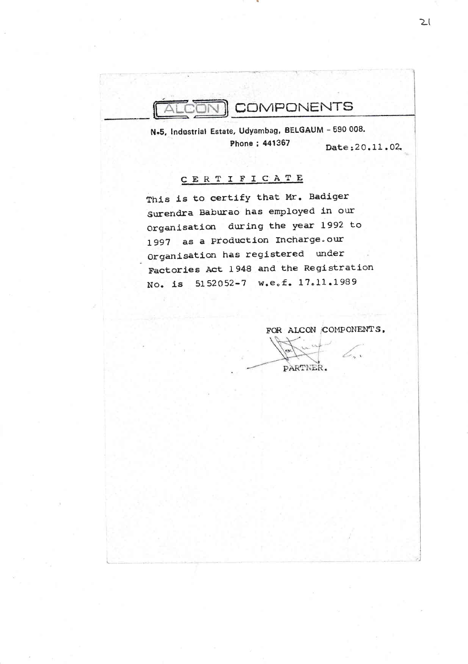

N.5, Industrial Estate, Udyambag, BELGAUM - 590 008. Phone ; 441367

Date: 20.11.02.

## CERTIFICATE

This is to certify that Mr. Badiger Surendra Baburao has employed in our Organisation during the year 1992 to 1997 as a Production Incharge.our Organisation has registered under Factories Act 1948 and the Registration No. is 5152052-7 w.e.f. 17.11.1989

FOR ALCON COMPONENTS. PARTNER.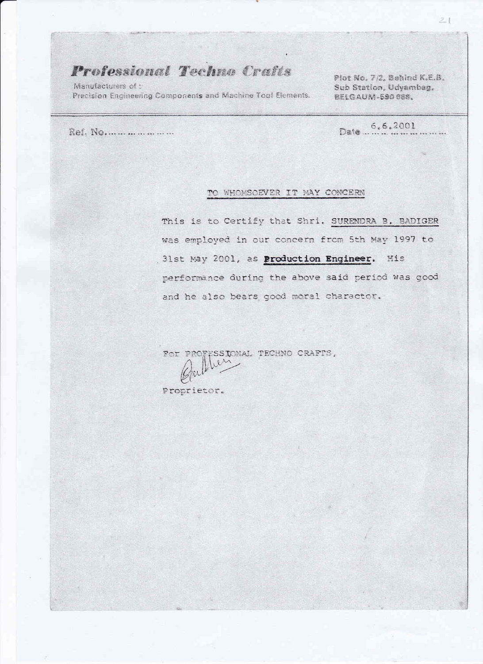## Professional Techno Crafts

Manufacturers of : Precision Engineering Components and Machine Tool Elements.

Plot No. 7/2, Behind K.E.B. Sub Station, Udyambag. BELGAUM-590088.

Ref. No.....................

 $6.6.2001$ Date ...

## TO WHOMSOEVER IT MAY CONCERN

This is to Certify that Shri. SURENDRA B. BADIGER was employed in our concern from 5th May 1997 to .31st May 2001, as Production Engineer. His performance during the above said period was good and he also bears good moral charactor.

For PROFESSIONAL TECHNO CRAFTS,

ien

Proprietor.